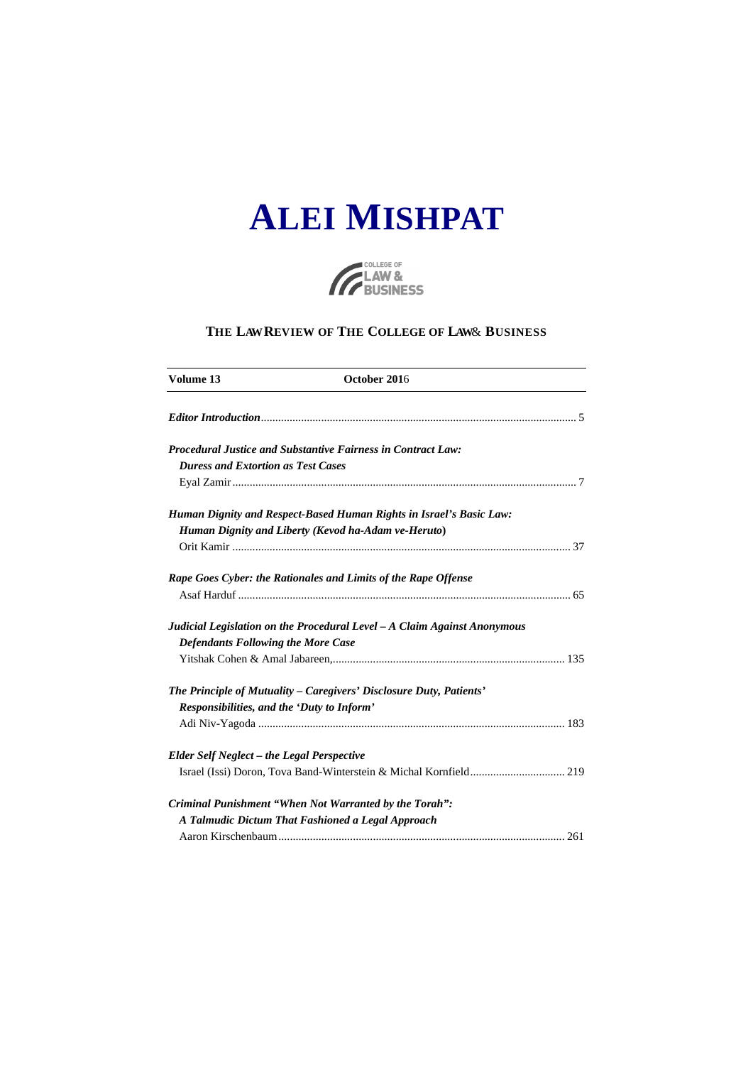# **ALEI MISHPAT**



#### THE LAW REVIEW OF THE COLLEGE OF LAW & BUSINESS

| Volume 13                                         | October 2016                                                             |  |
|---------------------------------------------------|--------------------------------------------------------------------------|--|
|                                                   |                                                                          |  |
|                                                   | <b>Procedural Justice and Substantive Fairness in Contract Law:</b>      |  |
| <b>Duress and Extortion as Test Cases</b>         |                                                                          |  |
|                                                   |                                                                          |  |
|                                                   | Human Dignity and Respect-Based Human Rights in Israel's Basic Law:      |  |
|                                                   | Human Dignity and Liberty (Kevod ha-Adam ve-Heruto)                      |  |
|                                                   |                                                                          |  |
|                                                   | Rape Goes Cyber: the Rationales and Limits of the Rape Offense           |  |
|                                                   | Judicial Legislation on the Procedural Level – A Claim Against Anonymous |  |
| <b>Defendants Following the More Case</b>         |                                                                          |  |
|                                                   |                                                                          |  |
|                                                   | The Principle of Mutuality – Caregivers' Disclosure Duty, Patients'      |  |
| Responsibilities, and the 'Duty to Inform'        |                                                                          |  |
|                                                   |                                                                          |  |
| <b>Elder Self Neglect - the Legal Perspective</b> |                                                                          |  |
|                                                   |                                                                          |  |
|                                                   | Criminal Punishment "When Not Warranted by the Torah":                   |  |
|                                                   | A Talmudic Dictum That Fashioned a Legal Approach                        |  |
|                                                   |                                                                          |  |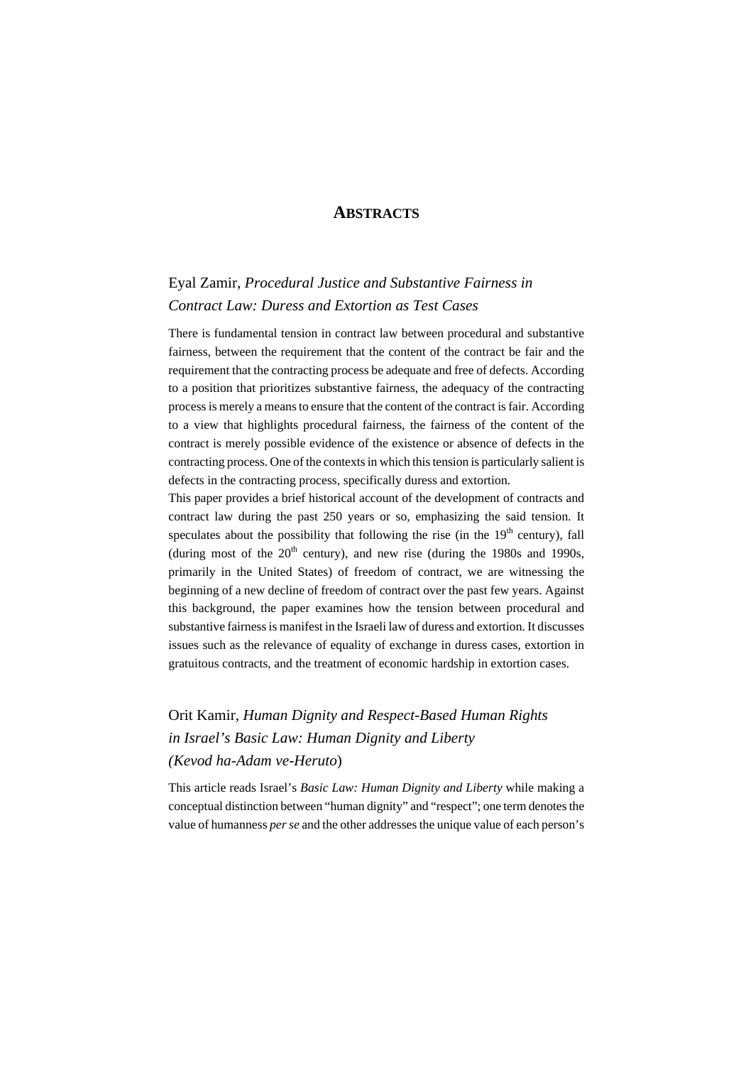#### **ABSTRACTS**

### Eyal Zamir, *Procedural Justice and Substantive Fairness in Contract Law: Duress and Extortion as Test Cases*

There is fundamental tension in contract law between procedural and substantive fairness, between the requirement that the content of the contract be fair and the requirement that the contracting process be adequate and free of defects. According to a position that prioritizes substantive fairness, the adequacy of the contracting process is merely a means to ensure that the content of the contract is fair. According to a view that highlights procedural fairness, the fairness of the content of the contract is merely possible evidence of the existence or absence of defects in the contracting process. One of the contexts in which this tension is particularly salient is defects in the contracting process, specifically duress and extortion.

This paper provides a brief historical account of the development of contracts and contract law during the past 250 years or so, emphasizing the said tension. It speculates about the possibility that following the rise (in the  $19<sup>th</sup>$  century), fall (during most of the  $20<sup>th</sup>$  century), and new rise (during the 1980s and 1990s, primarily in the United States) of freedom of contract, we are witnessing the beginning of a new decline of freedom of contract over the past few years. Against this background, the paper examines how the tension between procedural and substantive fairness is manifest in the Israeli law of duress and extortion. It discusses issues such as the relevance of equality of exchange in duress cases, extortion in gratuitous contracts, and the treatment of economic hardship in extortion cases.

# Orit Kamir, *Human Dignity and Respect-Based Human Rights in Israel's Basic Law: Human Dignity and Liberty (Kevod ha-Adam ve-Heruto*)

This article reads Israel's *Basic Law: Human Dignity and Liberty* while making a conceptual distinction between "human dignity" and "respect"; one term denotes the value of humanness *per se* and the other addresses the unique value of each person's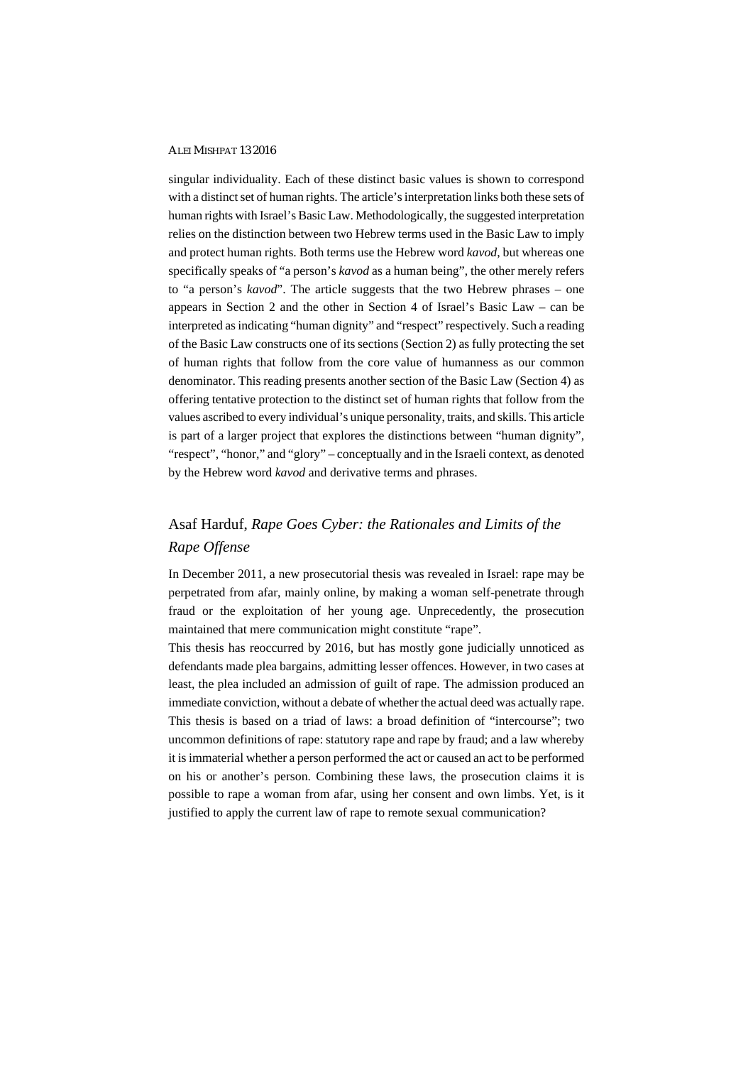#### ALEI MISHPAT 13 2016

singular individuality. Each of these distinct basic values is shown to correspond with a distinct set of human rights. The article's interpretation links both these sets of human rights with Israel's Basic Law. Methodologically, the suggested interpretation relies on the distinction between two Hebrew terms used in the Basic Law to imply and protect human rights. Both terms use the Hebrew word *kavod*, but whereas one specifically speaks of "a person's *kavod* as a human being", the other merely refers to "a person's *kavod*". The article suggests that the two Hebrew phrases – one appears in Section 2 and the other in Section 4 of Israel's Basic Law – can be interpreted as indicating "human dignity" and "respect" respectively. Such a reading of the Basic Law constructs one of its sections (Section 2) as fully protecting the set of human rights that follow from the core value of humanness as our common denominator. This reading presents another section of the Basic Law (Section 4) as offering tentative protection to the distinct set of human rights that follow from the values ascribed to every individual's unique personality, traits, and skills. This article is part of a larger project that explores the distinctions between "human dignity", "respect", "honor," and "glory" – conceptually and in the Israeli context, as denoted by the Hebrew word *kavod* and derivative terms and phrases.

### Asaf Harduf, *Rape Goes Cyber: the Rationales and Limits of the Rape Offense*

In December 2011, a new prosecutorial thesis was revealed in Israel: rape may be perpetrated from afar, mainly online, by making a woman self-penetrate through fraud or the exploitation of her young age. Unprecedently, the prosecution maintained that mere communication might constitute "rape".

This thesis has reoccurred by 2016, but has mostly gone judicially unnoticed as defendants made plea bargains, admitting lesser offences. However, in two cases at least, the plea included an admission of guilt of rape. The admission produced an immediate conviction, without a debate of whether the actual deed was actually rape. This thesis is based on a triad of laws: a broad definition of "intercourse"; two uncommon definitions of rape: statutory rape and rape by fraud; and a law whereby it is immaterial whether a person performed the act or caused an act to be performed on his or another's person. Combining these laws, the prosecution claims it is possible to rape a woman from afar, using her consent and own limbs. Yet, is it justified to apply the current law of rape to remote sexual communication?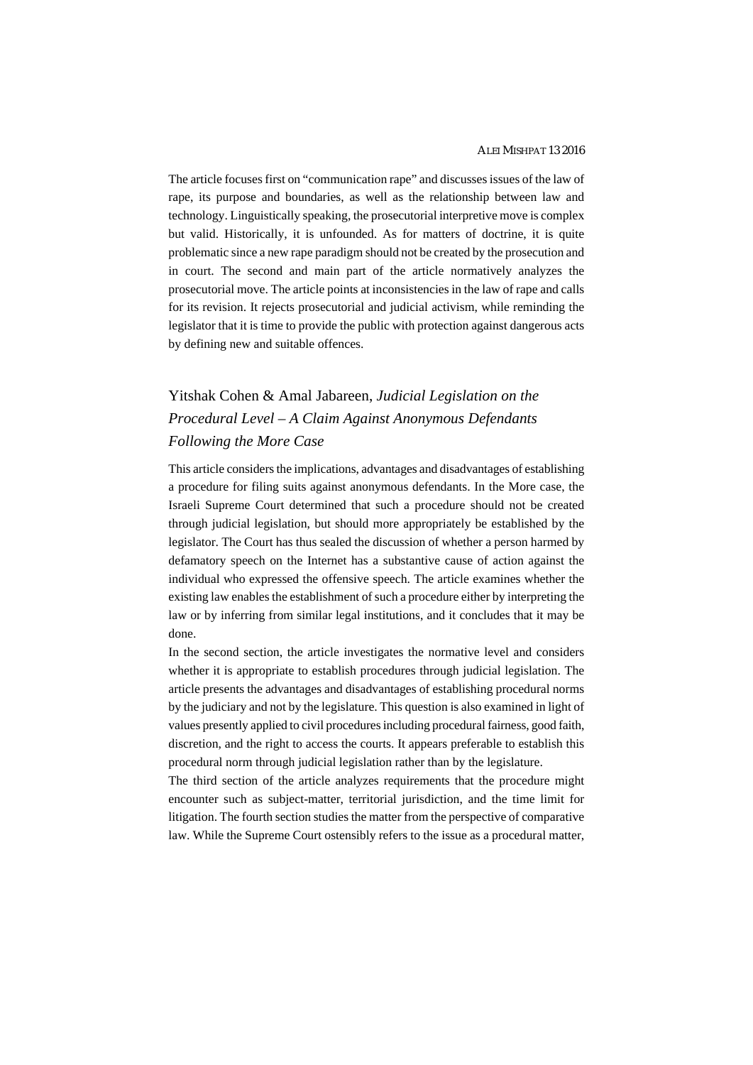The article focuses first on "communication rape" and discusses issues of the law of rape, its purpose and boundaries, as well as the relationship between law and technology. Linguistically speaking, the prosecutorial interpretive move is complex but valid. Historically, it is unfounded. As for matters of doctrine, it is quite problematic since a new rape paradigm should not be created by the prosecution and in court. The second and main part of the article normatively analyzes the prosecutorial move. The article points at inconsistencies in the law of rape and calls for its revision. It rejects prosecutorial and judicial activism, while reminding the legislator that it is time to provide the public with protection against dangerous acts by defining new and suitable offences.

## Yitshak Cohen & Amal Jabareen, *Judicial Legislation on the Procedural Level – A Claim Against Anonymous Defendants Following the More Case*

This article considers the implications, advantages and disadvantages of establishing a procedure for filing suits against anonymous defendants. In the More case, the Israeli Supreme Court determined that such a procedure should not be created through judicial legislation, but should more appropriately be established by the legislator. The Court has thus sealed the discussion of whether a person harmed by defamatory speech on the Internet has a substantive cause of action against the individual who expressed the offensive speech. The article examines whether the existing law enables the establishment of such a procedure either by interpreting the law or by inferring from similar legal institutions, and it concludes that it may be done.

In the second section, the article investigates the normative level and considers whether it is appropriate to establish procedures through judicial legislation. The article presents the advantages and disadvantages of establishing procedural norms by the judiciary and not by the legislature. This question is also examined in light of values presently applied to civil procedures including procedural fairness, good faith, discretion, and the right to access the courts. It appears preferable to establish this procedural norm through judicial legislation rather than by the legislature.

The third section of the article analyzes requirements that the procedure might encounter such as subject-matter, territorial jurisdiction, and the time limit for litigation. The fourth section studies the matter from the perspective of comparative law. While the Supreme Court ostensibly refers to the issue as a procedural matter,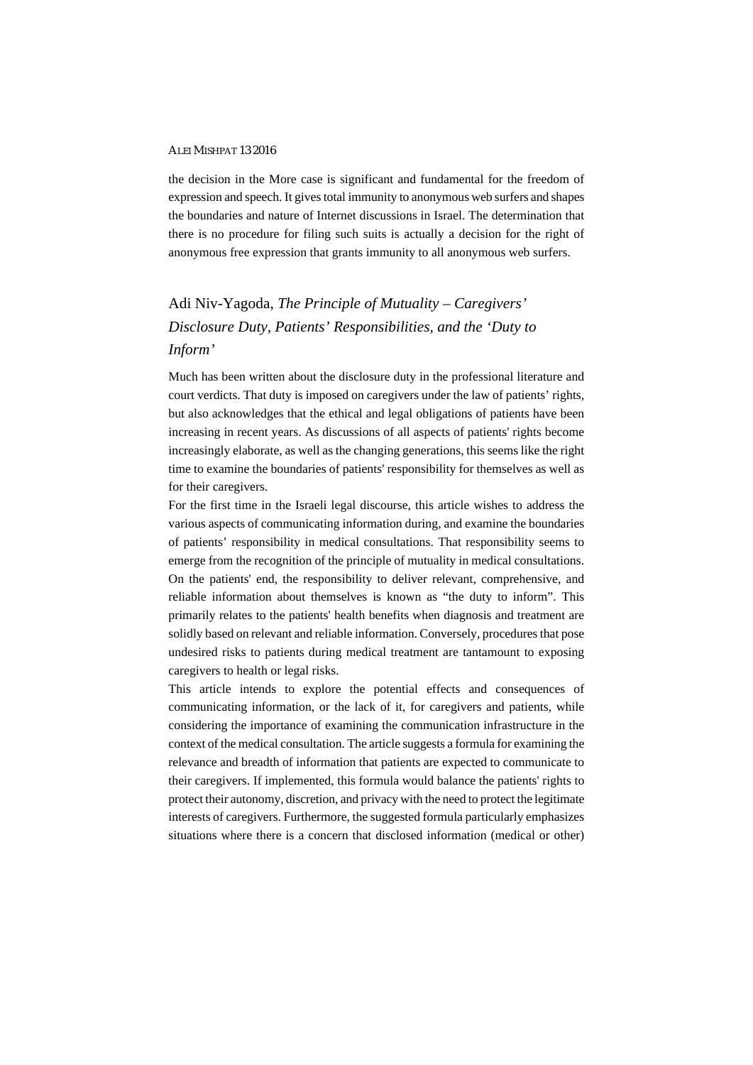#### ALEI MISHPAT 13 2016

the decision in the More case is significant and fundamental for the freedom of expression and speech. It gives total immunity to anonymous web surfers and shapes the boundaries and nature of Internet discussions in Israel. The determination that there is no procedure for filing such suits is actually a decision for the right of anonymous free expression that grants immunity to all anonymous web surfers.

## Adi Niv-Yagoda, *The Principle of Mutuality – Caregivers' Disclosure Duty, Patients' Responsibilities, and the 'Duty to Inform'*

Much has been written about the disclosure duty in the professional literature and court verdicts. That duty is imposed on caregivers under the law of patients' rights, but also acknowledges that the ethical and legal obligations of patients have been increasing in recent years. As discussions of all aspects of patients' rights become increasingly elaborate, as well as the changing generations, this seems like the right time to examine the boundaries of patients' responsibility for themselves as well as for their caregivers.

For the first time in the Israeli legal discourse, this article wishes to address the various aspects of communicating information during, and examine the boundaries of patients' responsibility in medical consultations. That responsibility seems to emerge from the recognition of the principle of mutuality in medical consultations. On the patients' end, the responsibility to deliver relevant, comprehensive, and reliable information about themselves is known as "the duty to inform". This primarily relates to the patients' health benefits when diagnosis and treatment are solidly based on relevant and reliable information. Conversely, procedures that pose undesired risks to patients during medical treatment are tantamount to exposing caregivers to health or legal risks.

This article intends to explore the potential effects and consequences of communicating information, or the lack of it, for caregivers and patients, while considering the importance of examining the communication infrastructure in the context of the medical consultation. The article suggests a formula for examining the relevance and breadth of information that patients are expected to communicate to their caregivers. If implemented, this formula would balance the patients' rights to protect their autonomy, discretion, and privacy with the need to protect the legitimate interests of caregivers. Furthermore, the suggested formula particularly emphasizes situations where there is a concern that disclosed information (medical or other)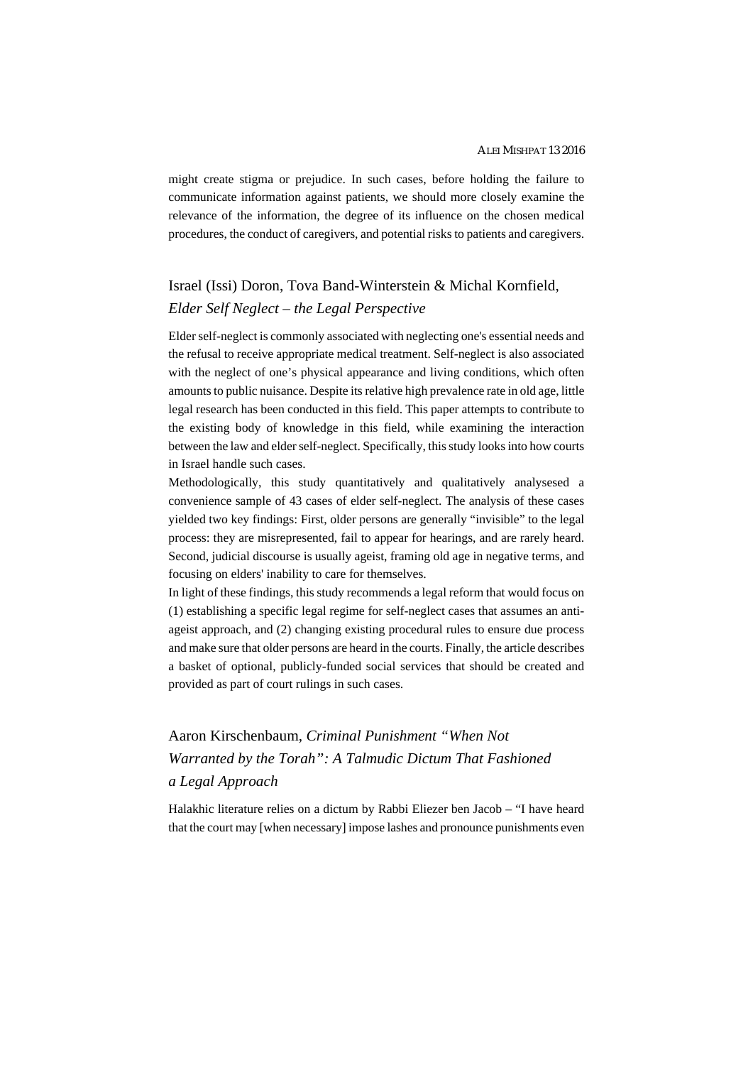might create stigma or prejudice. In such cases, before holding the failure to communicate information against patients, we should more closely examine the relevance of the information, the degree of its influence on the chosen medical procedures, the conduct of caregivers, and potential risks to patients and caregivers.

#### Israel (Issi) Doron, Tova Band-Winterstein & Michal Kornfield, *Elder Self Neglect – the Legal Perspective*

Elder self-neglect is commonly associated with neglecting one's essential needs and the refusal to receive appropriate medical treatment. Self-neglect is also associated with the neglect of one's physical appearance and living conditions, which often amounts to public nuisance. Despite its relative high prevalence rate in old age, little legal research has been conducted in this field. This paper attempts to contribute to the existing body of knowledge in this field, while examining the interaction between the law and elder self-neglect. Specifically, this study looks into how courts in Israel handle such cases.

Methodologically, this study quantitatively and qualitatively analysesed a convenience sample of 43 cases of elder self-neglect. The analysis of these cases yielded two key findings: First, older persons are generally "invisible" to the legal process: they are misrepresented, fail to appear for hearings, and are rarely heard. Second, judicial discourse is usually ageist, framing old age in negative terms, and focusing on elders' inability to care for themselves.

In light of these findings, this study recommends a legal reform that would focus on (1) establishing a specific legal regime for self-neglect cases that assumes an antiageist approach, and (2) changing existing procedural rules to ensure due process and make sure that older persons are heard in the courts. Finally, the article describes a basket of optional, publicly-funded social services that should be created and provided as part of court rulings in such cases.

# Aaron Kirschenbaum, *Criminal Punishment "When Not Warranted by the Torah": A Talmudic Dictum That Fashioned a Legal Approach*

Halakhic literature relies on a dictum by Rabbi Eliezer ben Jacob – "I have heard that the court may [when necessary] impose lashes and pronounce punishments even